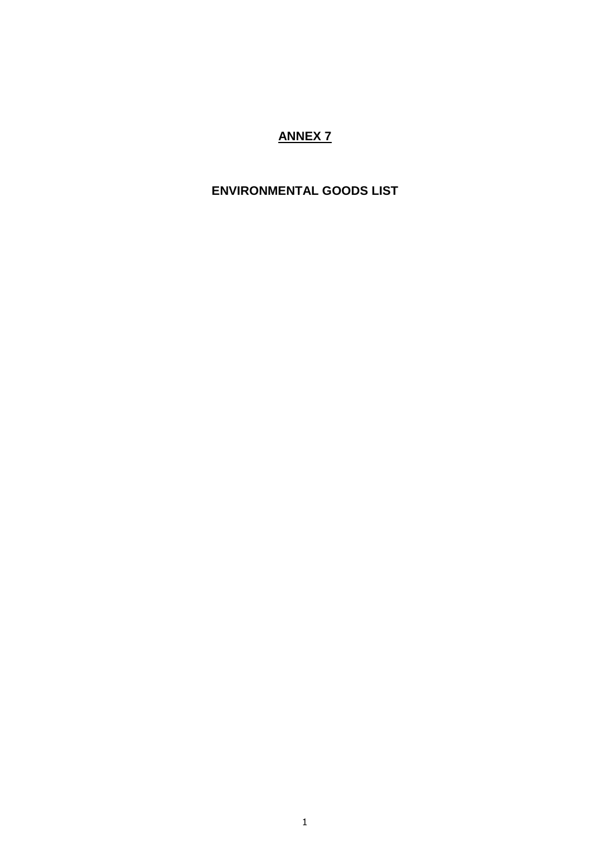## **ANNEX 7**

## **ENVIRONMENTAL GOODS LIST**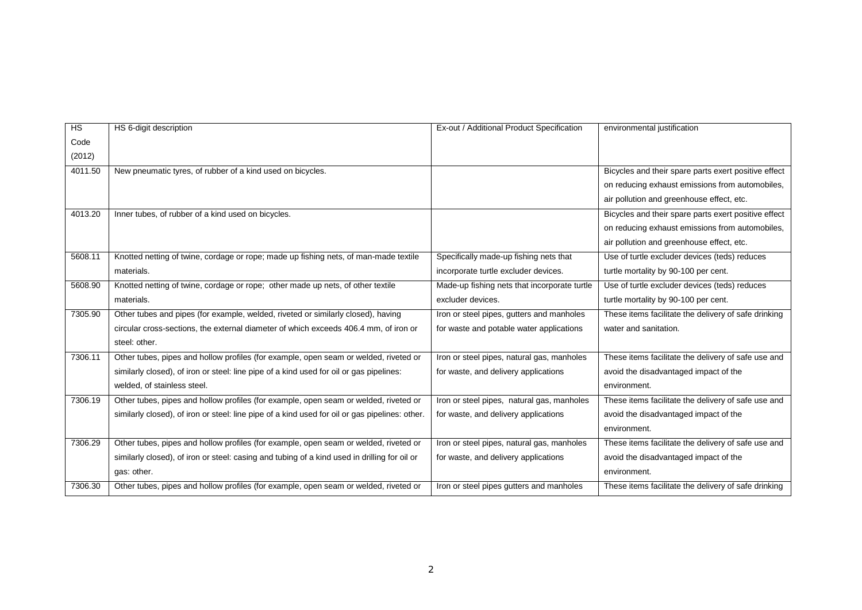| $\overline{HS}$ | HS 6-digit description                                                                         | Ex-out / Additional Product Specification    | environmental justification                          |
|-----------------|------------------------------------------------------------------------------------------------|----------------------------------------------|------------------------------------------------------|
| Code            |                                                                                                |                                              |                                                      |
| (2012)          |                                                                                                |                                              |                                                      |
| 4011.50         | New pneumatic tyres, of rubber of a kind used on bicycles.                                     |                                              | Bicycles and their spare parts exert positive effect |
|                 |                                                                                                |                                              | on reducing exhaust emissions from automobiles,      |
|                 |                                                                                                |                                              | air pollution and greenhouse effect, etc.            |
| 4013.20         | Inner tubes, of rubber of a kind used on bicycles.                                             |                                              | Bicycles and their spare parts exert positive effect |
|                 |                                                                                                |                                              | on reducing exhaust emissions from automobiles,      |
|                 |                                                                                                |                                              | air pollution and greenhouse effect, etc.            |
| 5608.11         | Knotted netting of twine, cordage or rope; made up fishing nets, of man-made textile           | Specifically made-up fishing nets that       | Use of turtle excluder devices (teds) reduces        |
|                 | materials.                                                                                     | incorporate turtle excluder devices.         | turtle mortality by 90-100 per cent.                 |
| 5608.90         | Knotted netting of twine, cordage or rope; other made up nets, of other textile                | Made-up fishing nets that incorporate turtle | Use of turtle excluder devices (teds) reduces        |
|                 | materials.                                                                                     | excluder devices.                            | turtle mortality by 90-100 per cent.                 |
| 7305.90         | Other tubes and pipes (for example, welded, riveted or similarly closed), having               | Iron or steel pipes, gutters and manholes    | These items facilitate the delivery of safe drinking |
|                 | circular cross-sections, the external diameter of which exceeds 406.4 mm, of iron or           | for waste and potable water applications     | water and sanitation.                                |
|                 | steel: other.                                                                                  |                                              |                                                      |
| 7306.11         | Other tubes, pipes and hollow profiles (for example, open seam or welded, riveted or           | Iron or steel pipes, natural gas, manholes   | These items facilitate the delivery of safe use and  |
|                 | similarly closed), of iron or steel: line pipe of a kind used for oil or gas pipelines:        | for waste, and delivery applications         | avoid the disadvantaged impact of the                |
|                 | welded, of stainless steel.                                                                    |                                              | environment.                                         |
| 7306.19         | Other tubes, pipes and hollow profiles (for example, open seam or welded, riveted or           | Iron or steel pipes, natural gas, manholes   | These items facilitate the delivery of safe use and  |
|                 | similarly closed), of iron or steel: line pipe of a kind used for oil or gas pipelines: other. | for waste, and delivery applications         | avoid the disadvantaged impact of the                |
|                 |                                                                                                |                                              | environment.                                         |
| 7306.29         | Other tubes, pipes and hollow profiles (for example, open seam or welded, riveted or           | Iron or steel pipes, natural gas, manholes   | These items facilitate the delivery of safe use and  |
|                 | similarly closed), of iron or steel: casing and tubing of a kind used in drilling for oil or   | for waste, and delivery applications         | avoid the disadvantaged impact of the                |
|                 | gas: other.                                                                                    |                                              | environment.                                         |
| 7306.30         | Other tubes, pipes and hollow profiles (for example, open seam or welded, riveted or           | Iron or steel pipes gutters and manholes     | These items facilitate the delivery of safe drinking |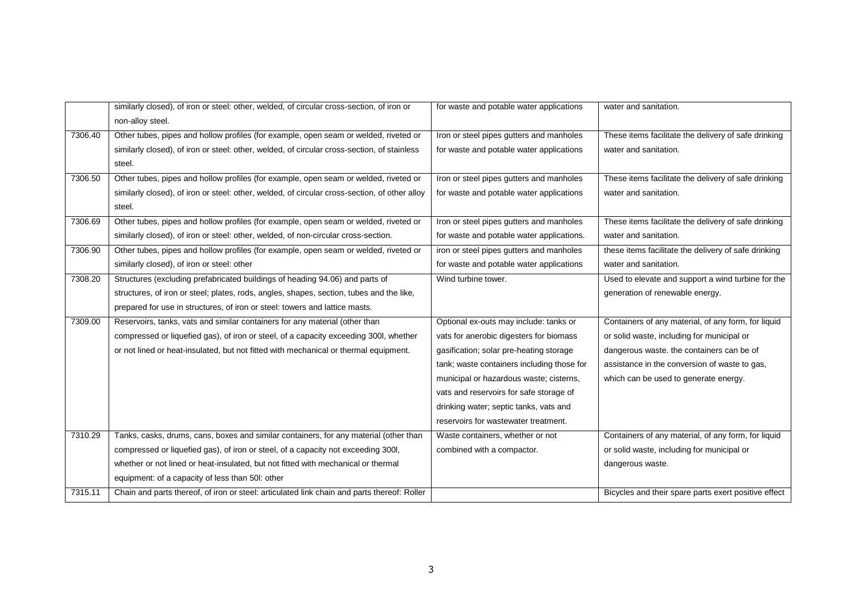|         | similarly closed), of iron or steel: other, welded, of circular cross-section, of iron or     | for waste and potable water applications   | water and sanitation.                                |
|---------|-----------------------------------------------------------------------------------------------|--------------------------------------------|------------------------------------------------------|
|         | non-alloy steel.                                                                              |                                            |                                                      |
| 7306.40 | Other tubes, pipes and hollow profiles (for example, open seam or welded, riveted or          | Iron or steel pipes gutters and manholes   | These items facilitate the delivery of safe drinking |
|         | similarly closed), of iron or steel: other, welded, of circular cross-section, of stainless   | for waste and potable water applications   | water and sanitation.                                |
|         | steel.                                                                                        |                                            |                                                      |
| 7306.50 | Other tubes, pipes and hollow profiles (for example, open seam or welded, riveted or          | Iron or steel pipes gutters and manholes   | These items facilitate the delivery of safe drinking |
|         | similarly closed), of iron or steel: other, welded, of circular cross-section, of other alloy | for waste and potable water applications   | water and sanitation.                                |
|         | steel.                                                                                        |                                            |                                                      |
| 7306.69 | Other tubes, pipes and hollow profiles (for example, open seam or welded, riveted or          | Iron or steel pipes gutters and manholes   | These items facilitate the delivery of safe drinking |
|         | similarly closed), of iron or steel: other, welded, of non-circular cross-section.            | for waste and potable water applications.  | water and sanitation.                                |
| 7306.90 | Other tubes, pipes and hollow profiles (for example, open seam or welded, riveted or          | iron or steel pipes gutters and manholes   | these items facilitate the delivery of safe drinking |
|         | similarly closed), of iron or steel: other                                                    | for waste and potable water applications   | water and sanitation.                                |
| 7308.20 | Structures (excluding prefabricated buildings of heading 94.06) and parts of                  | Wind turbine tower.                        | Used to elevate and support a wind turbine for the   |
|         | structures, of iron or steel; plates, rods, angles, shapes, section, tubes and the like,      |                                            | generation of renewable energy.                      |
|         | prepared for use in structures, of iron or steel: towers and lattice masts.                   |                                            |                                                      |
| 7309.00 | Reservoirs, tanks, vats and similar containers for any material (other than                   | Optional ex-outs may include: tanks or     | Containers of any material, of any form, for liquid  |
|         | compressed or liquefied gas), of iron or steel, of a capacity exceeding 300l, whether         | vats for anerobic digesters for biomass    | or solid waste, including for municipal or           |
|         | or not lined or heat-insulated, but not fitted with mechanical or thermal equipment.          | gasification; solar pre-heating storage    | dangerous waste. the containers can be of            |
|         |                                                                                               | tank; waste containers including those for | assistance in the conversion of waste to gas,        |
|         |                                                                                               | municipal or hazardous waste; cisterns,    | which can be used to generate energy.                |
|         |                                                                                               | vats and reservoirs for safe storage of    |                                                      |
|         |                                                                                               | drinking water; septic tanks, vats and     |                                                      |
|         |                                                                                               | reservoirs for wastewater treatment.       |                                                      |
| 7310.29 | Tanks, casks, drums, cans, boxes and similar containers, for any material (other than         | Waste containers, whether or not           | Containers of any material, of any form, for liquid  |
|         | compressed or liquefied gas), of iron or steel, of a capacity not exceeding 300l,             | combined with a compactor.                 | or solid waste, including for municipal or           |
|         | whether or not lined or heat-insulated, but not fitted with mechanical or thermal             |                                            | dangerous waste.                                     |
|         | equipment: of a capacity of less than 50 !: other                                             |                                            |                                                      |
| 7315.11 | Chain and parts thereof, of iron or steel: articulated link chain and parts thereof: Roller   |                                            | Bicycles and their spare parts exert positive effect |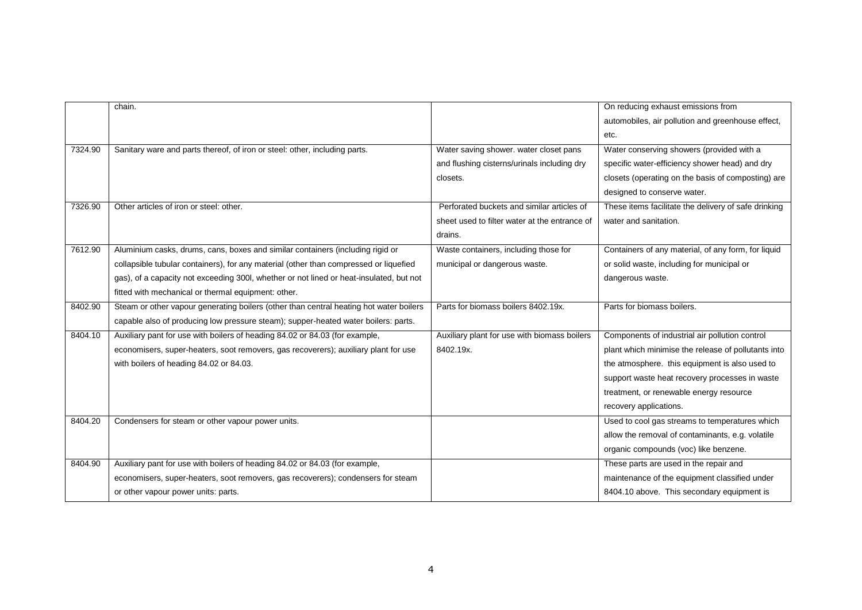|         | chain.                                                                                  |                                               | On reducing exhaust emissions from                   |
|---------|-----------------------------------------------------------------------------------------|-----------------------------------------------|------------------------------------------------------|
|         |                                                                                         |                                               | automobiles, air pollution and greenhouse effect,    |
|         |                                                                                         |                                               | etc.                                                 |
| 7324.90 | Sanitary ware and parts thereof, of iron or steel: other, including parts.              | Water saving shower. water closet pans        | Water conserving showers (provided with a            |
|         |                                                                                         | and flushing cisterns/urinals including dry   | specific water-efficiency shower head) and dry       |
|         |                                                                                         | closets.                                      | closets (operating on the basis of composting) are   |
|         |                                                                                         |                                               | designed to conserve water.                          |
| 7326.90 | Other articles of iron or steel: other.                                                 | Perforated buckets and similar articles of    | These items facilitate the delivery of safe drinking |
|         |                                                                                         | sheet used to filter water at the entrance of | water and sanitation.                                |
|         |                                                                                         | drains.                                       |                                                      |
| 7612.90 | Aluminium casks, drums, cans, boxes and similar containers (including rigid or          | Waste containers, including those for         | Containers of any material, of any form, for liquid  |
|         | collapsible tubular containers), for any material (other than compressed or liquefied   | municipal or dangerous waste.                 | or solid waste, including for municipal or           |
|         | gas), of a capacity not exceeding 300l, whether or not lined or heat-insulated, but not |                                               | dangerous waste.                                     |
|         | fitted with mechanical or thermal equipment: other.                                     |                                               |                                                      |
| 8402.90 | Steam or other vapour generating boilers (other than central heating hot water boilers  | Parts for biomass boilers 8402.19x.           | Parts for biomass boilers.                           |
|         | capable also of producing low pressure steam); supper-heated water boilers: parts.      |                                               |                                                      |
| 8404.10 | Auxiliary pant for use with boilers of heading 84.02 or 84.03 (for example,             | Auxiliary plant for use with biomass boilers  | Components of industrial air pollution control       |
|         | economisers, super-heaters, soot removers, gas recoverers); auxiliary plant for use     | 8402.19x.                                     | plant which minimise the release of pollutants into  |
|         | with boilers of heading 84.02 or 84.03.                                                 |                                               | the atmosphere. this equipment is also used to       |
|         |                                                                                         |                                               | support waste heat recovery processes in waste       |
|         |                                                                                         |                                               | treatment, or renewable energy resource              |
|         |                                                                                         |                                               | recovery applications.                               |
| 8404.20 | Condensers for steam or other vapour power units.                                       |                                               | Used to cool gas streams to temperatures which       |
|         |                                                                                         |                                               | allow the removal of contaminants, e.g. volatile     |
|         |                                                                                         |                                               | organic compounds (voc) like benzene.                |
| 8404.90 | Auxiliary pant for use with boilers of heading 84.02 or 84.03 (for example,             |                                               | These parts are used in the repair and               |
|         | economisers, super-heaters, soot removers, gas recoverers); condensers for steam        |                                               | maintenance of the equipment classified under        |
|         | or other vapour power units: parts.                                                     |                                               | 8404.10 above. This secondary equipment is           |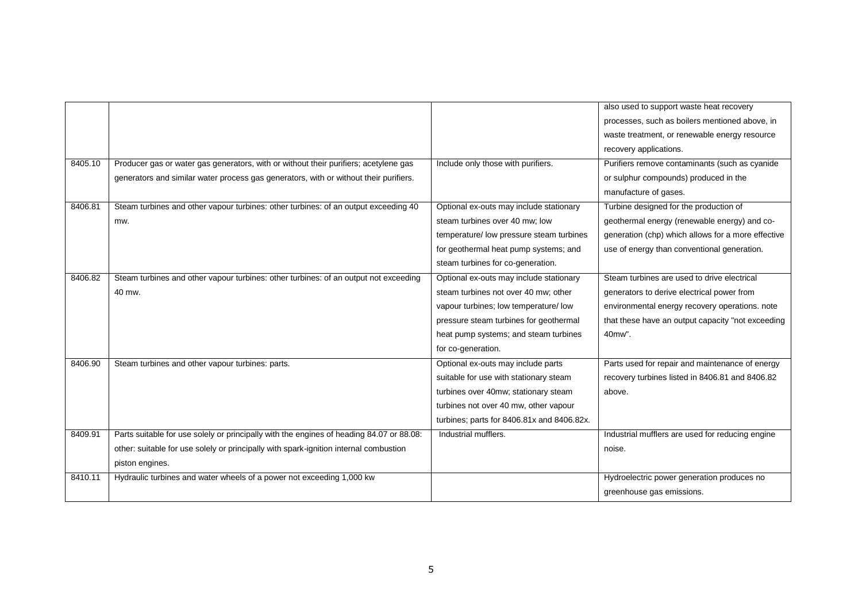|         |                                                                                          |                                            | also used to support waste heat recovery           |
|---------|------------------------------------------------------------------------------------------|--------------------------------------------|----------------------------------------------------|
|         |                                                                                          |                                            | processes, such as boilers mentioned above, in     |
|         |                                                                                          |                                            | waste treatment, or renewable energy resource      |
|         |                                                                                          |                                            | recovery applications.                             |
| 8405.10 | Producer gas or water gas generators, with or without their purifiers; acetylene gas     | Include only those with purifiers.         | Purifiers remove contaminants (such as cyanide     |
|         | generators and similar water process gas generators, with or without their purifiers.    |                                            | or sulphur compounds) produced in the              |
|         |                                                                                          |                                            | manufacture of gases.                              |
| 8406.81 | Steam turbines and other vapour turbines: other turbines: of an output exceeding 40      | Optional ex-outs may include stationary    | Turbine designed for the production of             |
|         | mw.                                                                                      | steam turbines over 40 mw: low             | geothermal energy (renewable energy) and co-       |
|         |                                                                                          | temperature/ low pressure steam turbines   | generation (chp) which allows for a more effective |
|         |                                                                                          | for geothermal heat pump systems; and      | use of energy than conventional generation.        |
|         |                                                                                          | steam turbines for co-generation.          |                                                    |
| 8406.82 | Steam turbines and other vapour turbines: other turbines: of an output not exceeding     | Optional ex-outs may include stationary    | Steam turbines are used to drive electrical        |
|         | 40 mw.                                                                                   | steam turbines not over 40 mw; other       | generators to derive electrical power from         |
|         |                                                                                          | vapour turbines; low temperature/ low      | environmental energy recovery operations. note     |
|         |                                                                                          | pressure steam turbines for geothermal     | that these have an output capacity "not exceeding  |
|         |                                                                                          | heat pump systems; and steam turbines      | 40mw".                                             |
|         |                                                                                          | for co-generation.                         |                                                    |
| 8406.90 | Steam turbines and other vapour turbines: parts.                                         | Optional ex-outs may include parts         | Parts used for repair and maintenance of energy    |
|         |                                                                                          | suitable for use with stationary steam     | recovery turbines listed in 8406.81 and 8406.82    |
|         |                                                                                          | turbines over 40mw; stationary steam       | above.                                             |
|         |                                                                                          | turbines not over 40 mw, other vapour      |                                                    |
|         |                                                                                          | turbines; parts for 8406.81x and 8406.82x. |                                                    |
| 8409.91 | Parts suitable for use solely or principally with the engines of heading 84.07 or 88.08: | Industrial mufflers.                       | Industrial mufflers are used for reducing engine   |
|         | other: suitable for use solely or principally with spark-ignition internal combustion    |                                            | noise.                                             |
|         | piston engines.                                                                          |                                            |                                                    |
| 8410.11 | Hydraulic turbines and water wheels of a power not exceeding 1,000 kw                    |                                            | Hydroelectric power generation produces no         |
|         |                                                                                          |                                            | greenhouse gas emissions.                          |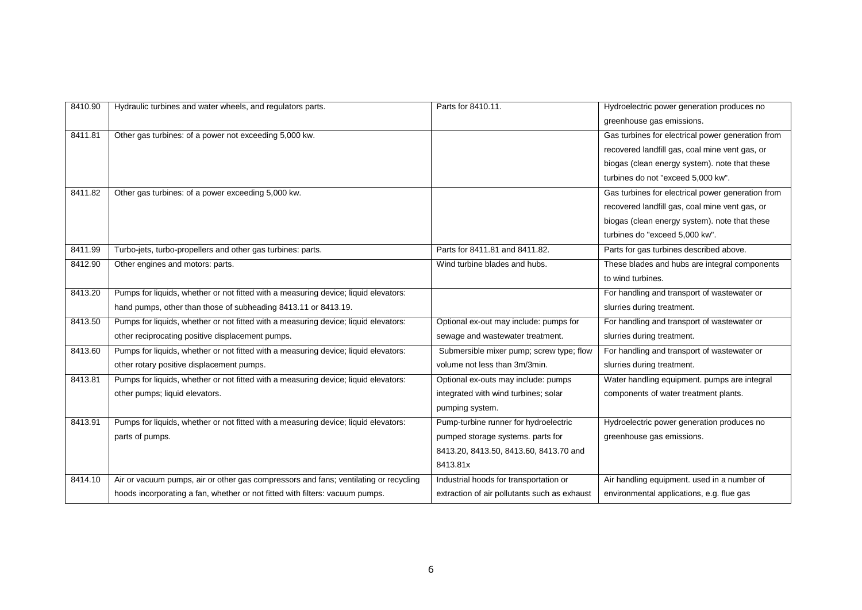| 8410.90 | Hydraulic turbines and water wheels, and regulators parts.                           | Parts for 8410.11.                           | Hydroelectric power generation produces no        |
|---------|--------------------------------------------------------------------------------------|----------------------------------------------|---------------------------------------------------|
|         |                                                                                      |                                              | greenhouse gas emissions.                         |
| 8411.81 | Other gas turbines: of a power not exceeding 5,000 kw.                               |                                              | Gas turbines for electrical power generation from |
|         |                                                                                      |                                              | recovered landfill gas, coal mine vent gas, or    |
|         |                                                                                      |                                              | biogas (clean energy system). note that these     |
|         |                                                                                      |                                              | turbines do not "exceed 5,000 kw".                |
| 8411.82 | Other gas turbines: of a power exceeding 5,000 kw.                                   |                                              | Gas turbines for electrical power generation from |
|         |                                                                                      |                                              | recovered landfill gas, coal mine vent gas, or    |
|         |                                                                                      |                                              | biogas (clean energy system). note that these     |
|         |                                                                                      |                                              | turbines do "exceed 5,000 kw".                    |
| 8411.99 | Turbo-jets, turbo-propellers and other gas turbines: parts.                          | Parts for 8411.81 and 8411.82.               | Parts for gas turbines described above.           |
| 8412.90 | Other engines and motors: parts.                                                     | Wind turbine blades and hubs.                | These blades and hubs are integral components     |
|         |                                                                                      |                                              | to wind turbines.                                 |
| 8413.20 | Pumps for liquids, whether or not fitted with a measuring device; liquid elevators:  |                                              | For handling and transport of wastewater or       |
|         | hand pumps, other than those of subheading 8413.11 or 8413.19.                       |                                              | slurries during treatment.                        |
| 8413.50 | Pumps for liquids, whether or not fitted with a measuring device; liquid elevators:  | Optional ex-out may include: pumps for       | For handling and transport of wastewater or       |
|         | other reciprocating positive displacement pumps.                                     | sewage and wastewater treatment.             | slurries during treatment.                        |
| 8413.60 | Pumps for liquids, whether or not fitted with a measuring device; liquid elevators:  | Submersible mixer pump; screw type; flow     | For handling and transport of wastewater or       |
|         | other rotary positive displacement pumps.                                            | volume not less than 3m/3min.                | slurries during treatment.                        |
| 8413.81 | Pumps for liquids, whether or not fitted with a measuring device; liquid elevators:  | Optional ex-outs may include: pumps          | Water handling equipment. pumps are integral      |
|         | other pumps; liquid elevators.                                                       | integrated with wind turbines; solar         | components of water treatment plants.             |
|         |                                                                                      | pumping system.                              |                                                   |
| 8413.91 | Pumps for liquids, whether or not fitted with a measuring device; liquid elevators:  | Pump-turbine runner for hydroelectric        | Hydroelectric power generation produces no        |
|         | parts of pumps.                                                                      | pumped storage systems. parts for            | greenhouse gas emissions.                         |
|         |                                                                                      | 8413.20, 8413.50, 8413.60, 8413.70 and       |                                                   |
|         |                                                                                      | 8413.81x                                     |                                                   |
| 8414.10 | Air or vacuum pumps, air or other gas compressors and fans; ventilating or recycling | Industrial hoods for transportation or       | Air handling equipment. used in a number of       |
|         | hoods incorporating a fan, whether or not fitted with filters: vacuum pumps.         | extraction of air pollutants such as exhaust | environmental applications, e.g. flue gas         |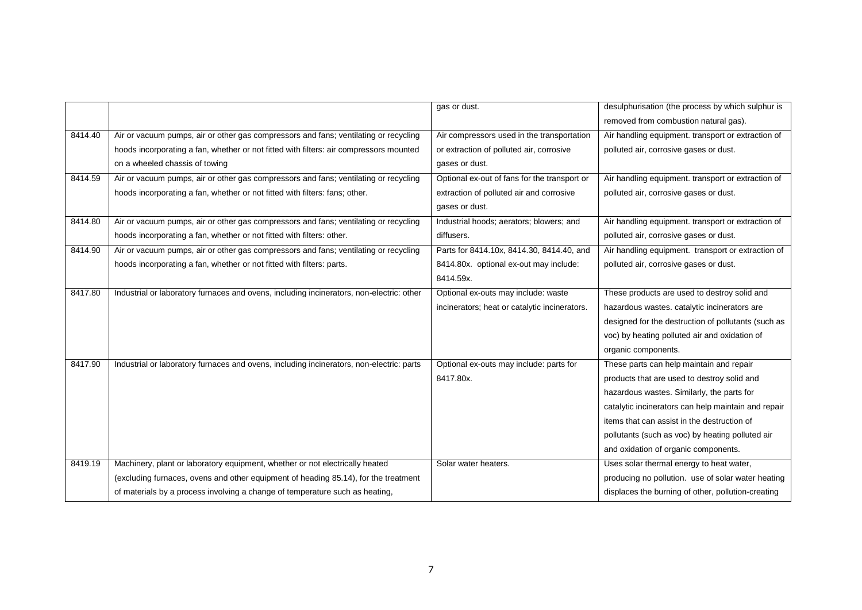|         |                                                                                          | gas or dust.                                  | desulphurisation (the process by which sulphur is   |
|---------|------------------------------------------------------------------------------------------|-----------------------------------------------|-----------------------------------------------------|
|         |                                                                                          |                                               | removed from combustion natural gas).               |
| 8414.40 | Air or vacuum pumps, air or other gas compressors and fans; ventilating or recycling     | Air compressors used in the transportation    | Air handling equipment. transport or extraction of  |
|         | hoods incorporating a fan, whether or not fitted with filters: air compressors mounted   | or extraction of polluted air, corrosive      | polluted air, corrosive gases or dust.              |
|         | on a wheeled chassis of towing                                                           | gases or dust.                                |                                                     |
| 8414.59 | Air or vacuum pumps, air or other gas compressors and fans; ventilating or recycling     | Optional ex-out of fans for the transport or  | Air handling equipment. transport or extraction of  |
|         | hoods incorporating a fan, whether or not fitted with filters: fans; other.              | extraction of polluted air and corrosive      | polluted air, corrosive gases or dust.              |
|         |                                                                                          | gases or dust.                                |                                                     |
| 8414.80 | Air or vacuum pumps, air or other gas compressors and fans; ventilating or recycling     | Industrial hoods; aerators; blowers; and      | Air handling equipment. transport or extraction of  |
|         | hoods incorporating a fan, whether or not fitted with filters: other.                    | diffusers.                                    | polluted air, corrosive gases or dust.              |
| 8414.90 | Air or vacuum pumps, air or other gas compressors and fans; ventilating or recycling     | Parts for 8414.10x, 8414.30, 8414.40, and     | Air handling equipment. transport or extraction of  |
|         | hoods incorporating a fan, whether or not fitted with filters: parts.                    | 8414.80x. optional ex-out may include:        | polluted air, corrosive gases or dust.              |
|         |                                                                                          | 8414.59x.                                     |                                                     |
| 8417.80 | Industrial or laboratory furnaces and ovens, including incinerators, non-electric: other | Optional ex-outs may include: waste           | These products are used to destroy solid and        |
|         |                                                                                          | incinerators; heat or catalytic incinerators. | hazardous wastes. catalytic incinerators are        |
|         |                                                                                          |                                               | designed for the destruction of pollutants (such as |
|         |                                                                                          |                                               | voc) by heating polluted air and oxidation of       |
|         |                                                                                          |                                               | organic components.                                 |
| 8417.90 | Industrial or laboratory furnaces and ovens, including incinerators, non-electric: parts | Optional ex-outs may include: parts for       | These parts can help maintain and repair            |
|         |                                                                                          | 8417.80x.                                     | products that are used to destroy solid and         |
|         |                                                                                          |                                               | hazardous wastes. Similarly, the parts for          |
|         |                                                                                          |                                               | catalytic incinerators can help maintain and repair |
|         |                                                                                          |                                               | items that can assist in the destruction of         |
|         |                                                                                          |                                               | pollutants (such as voc) by heating polluted air    |
|         |                                                                                          |                                               | and oxidation of organic components.                |
| 8419.19 | Machinery, plant or laboratory equipment, whether or not electrically heated             | Solar water heaters.                          | Uses solar thermal energy to heat water,            |
|         | (excluding furnaces, ovens and other equipment of heading 85.14), for the treatment      |                                               | producing no pollution. use of solar water heating  |
|         | of materials by a process involving a change of temperature such as heating,             |                                               | displaces the burning of other, pollution-creating  |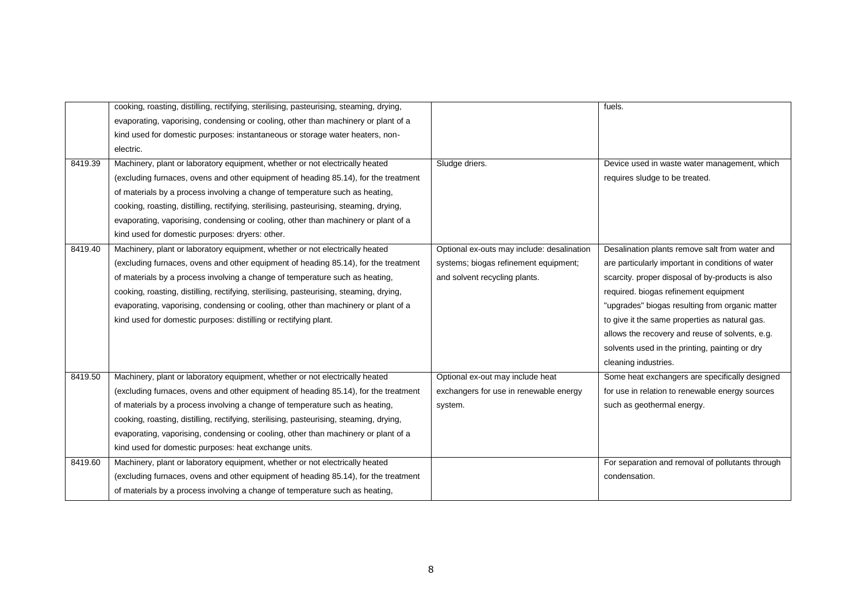|         | cooking, roasting, distilling, rectifying, sterilising, pasteurising, steaming, drying, |                                            | fuels.                                            |
|---------|-----------------------------------------------------------------------------------------|--------------------------------------------|---------------------------------------------------|
|         | evaporating, vaporising, condensing or cooling, other than machinery or plant of a      |                                            |                                                   |
|         | kind used for domestic purposes: instantaneous or storage water heaters, non-           |                                            |                                                   |
|         | electric.                                                                               |                                            |                                                   |
| 8419.39 | Machinery, plant or laboratory equipment, whether or not electrically heated            | Sludge driers.                             | Device used in waste water management, which      |
|         | (excluding furnaces, ovens and other equipment of heading 85.14), for the treatment     |                                            | requires sludge to be treated.                    |
|         | of materials by a process involving a change of temperature such as heating,            |                                            |                                                   |
|         | cooking, roasting, distilling, rectifying, sterilising, pasteurising, steaming, drying, |                                            |                                                   |
|         | evaporating, vaporising, condensing or cooling, other than machinery or plant of a      |                                            |                                                   |
|         | kind used for domestic purposes: dryers: other.                                         |                                            |                                                   |
| 8419.40 | Machinery, plant or laboratory equipment, whether or not electrically heated            | Optional ex-outs may include: desalination | Desalination plants remove salt from water and    |
|         | (excluding furnaces, ovens and other equipment of heading 85.14), for the treatment     | systems; biogas refinement equipment;      | are particularly important in conditions of water |
|         | of materials by a process involving a change of temperature such as heating,            | and solvent recycling plants.              | scarcity. proper disposal of by-products is also  |
|         | cooking, roasting, distilling, rectifying, sterilising, pasteurising, steaming, drying, |                                            | required. biogas refinement equipment             |
|         | evaporating, vaporising, condensing or cooling, other than machinery or plant of a      |                                            | "upgrades" biogas resulting from organic matter   |
|         | kind used for domestic purposes: distilling or rectifying plant.                        |                                            | to give it the same properties as natural gas.    |
|         |                                                                                         |                                            | allows the recovery and reuse of solvents, e.g.   |
|         |                                                                                         |                                            | solvents used in the printing, painting or dry    |
|         |                                                                                         |                                            | cleaning industries.                              |
| 8419.50 | Machinery, plant or laboratory equipment, whether or not electrically heated            | Optional ex-out may include heat           | Some heat exchangers are specifically designed    |
|         | (excluding furnaces, ovens and other equipment of heading 85.14), for the treatment     | exchangers for use in renewable energy     | for use in relation to renewable energy sources   |
|         | of materials by a process involving a change of temperature such as heating,            | system.                                    | such as geothermal energy.                        |
|         | cooking, roasting, distilling, rectifying, sterilising, pasteurising, steaming, drying, |                                            |                                                   |
|         | evaporating, vaporising, condensing or cooling, other than machinery or plant of a      |                                            |                                                   |
|         | kind used for domestic purposes: heat exchange units.                                   |                                            |                                                   |
| 8419.60 | Machinery, plant or laboratory equipment, whether or not electrically heated            |                                            | For separation and removal of pollutants through  |
|         | (excluding furnaces, ovens and other equipment of heading 85.14), for the treatment     |                                            | condensation.                                     |
|         | of materials by a process involving a change of temperature such as heating,            |                                            |                                                   |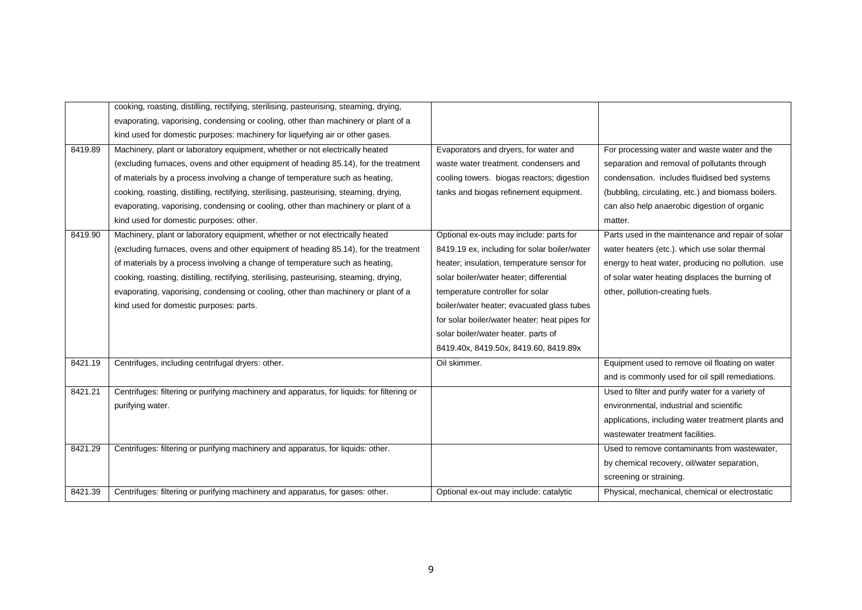|         | cooking, roasting, distilling, rectifying, sterilising, pasteurising, steaming, drying,    |                                               |                                                    |
|---------|--------------------------------------------------------------------------------------------|-----------------------------------------------|----------------------------------------------------|
|         | evaporating, vaporising, condensing or cooling, other than machinery or plant of a         |                                               |                                                    |
|         | kind used for domestic purposes: machinery for liquefying air or other gases.              |                                               |                                                    |
| 8419.89 | Machinery, plant or laboratory equipment, whether or not electrically heated               | Evaporators and dryers, for water and         | For processing water and waste water and the       |
|         | (excluding furnaces, ovens and other equipment of heading 85.14), for the treatment        | waste water treatment. condensers and         | separation and removal of pollutants through       |
|         | of materials by a process involving a change of temperature such as heating,               | cooling towers. biogas reactors; digestion    | condensation. includes fluidised bed systems       |
|         | cooking, roasting, distilling, rectifying, sterilising, pasteurising, steaming, drying,    | tanks and biogas refinement equipment.        | (bubbling, circulating, etc.) and biomass boilers. |
|         | evaporating, vaporising, condensing or cooling, other than machinery or plant of a         |                                               | can also help anaerobic digestion of organic       |
|         | kind used for domestic purposes: other.                                                    |                                               | matter.                                            |
| 8419.90 | Machinery, plant or laboratory equipment, whether or not electrically heated               | Optional ex-outs may include: parts for       | Parts used in the maintenance and repair of solar  |
|         | (excluding furnaces, ovens and other equipment of heading 85.14), for the treatment        | 8419.19 ex, including for solar boiler/water  | water heaters (etc.). which use solar thermal      |
|         | of materials by a process involving a change of temperature such as heating,               | heater; insulation, temperature sensor for    | energy to heat water, producing no pollution. use  |
|         | cooking, roasting, distilling, rectifying, sterilising, pasteurising, steaming, drying,    | solar boiler/water heater; differential       | of solar water heating displaces the burning of    |
|         | evaporating, vaporising, condensing or cooling, other than machinery or plant of a         | temperature controller for solar              | other, pollution-creating fuels.                   |
|         | kind used for domestic purposes: parts.                                                    | boiler/water heater; evacuated glass tubes    |                                                    |
|         |                                                                                            | for solar boiler/water heater; heat pipes for |                                                    |
|         |                                                                                            | solar boiler/water heater. parts of           |                                                    |
|         |                                                                                            | 8419.40x, 8419.50x, 8419.60, 8419.89x         |                                                    |
| 8421.19 | Centrifuges, including centrifugal dryers: other.                                          | Oil skimmer.                                  | Equipment used to remove oil floating on water     |
|         |                                                                                            |                                               | and is commonly used for oil spill remediations.   |
| 8421.21 | Centrifuges: filtering or purifying machinery and apparatus, for liquids: for filtering or |                                               | Used to filter and purify water for a variety of   |
|         | purifying water.                                                                           |                                               | environmental, industrial and scientific           |
|         |                                                                                            |                                               | applications, including water treatment plants and |
|         |                                                                                            |                                               | wastewater treatment facilities.                   |
| 8421.29 | Centrifuges: filtering or purifying machinery and apparatus, for liquids: other.           |                                               | Used to remove contaminants from wastewater,       |
|         |                                                                                            |                                               | by chemical recovery, oil/water separation,        |
|         |                                                                                            |                                               | screening or straining.                            |
| 8421.39 | Centrifuges: filtering or purifying machinery and apparatus, for gases: other.             | Optional ex-out may include: catalytic        | Physical, mechanical, chemical or electrostatic    |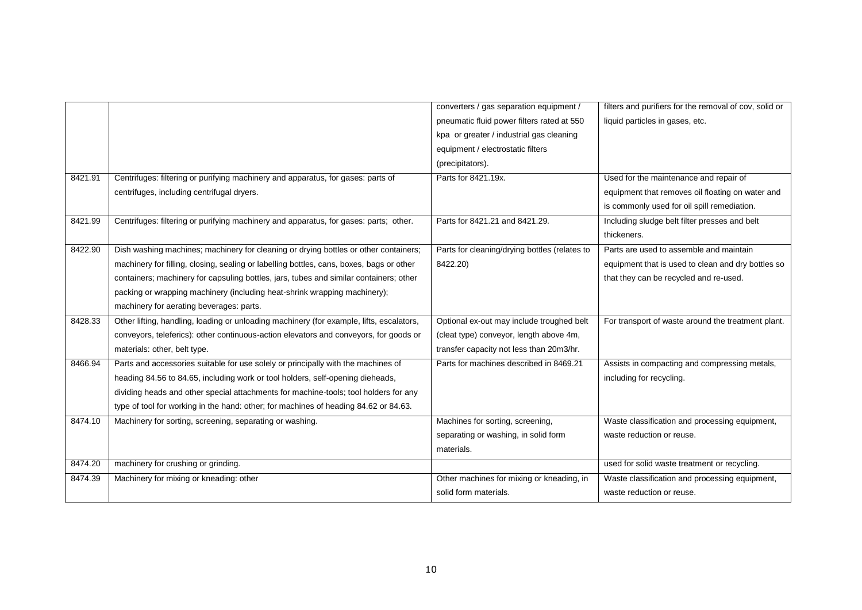|         |                                                                                          | converters / gas separation equipment /       | filters and purifiers for the removal of cov, solid or |
|---------|------------------------------------------------------------------------------------------|-----------------------------------------------|--------------------------------------------------------|
|         |                                                                                          | pneumatic fluid power filters rated at 550    | liquid particles in gases, etc.                        |
|         |                                                                                          | kpa or greater / industrial gas cleaning      |                                                        |
|         |                                                                                          | equipment / electrostatic filters             |                                                        |
|         |                                                                                          | (precipitators).                              |                                                        |
| 8421.91 | Centrifuges: filtering or purifying machinery and apparatus, for gases: parts of         | Parts for 8421.19x.                           | Used for the maintenance and repair of                 |
|         | centrifuges, including centrifugal dryers.                                               |                                               | equipment that removes oil floating on water and       |
|         |                                                                                          |                                               | is commonly used for oil spill remediation.            |
| 8421.99 | Centrifuges: filtering or purifying machinery and apparatus, for gases: parts; other.    | Parts for 8421.21 and 8421.29.                | Including sludge belt filter presses and belt          |
|         |                                                                                          |                                               | thickeners.                                            |
| 8422.90 | Dish washing machines; machinery for cleaning or drying bottles or other containers;     | Parts for cleaning/drying bottles (relates to | Parts are used to assemble and maintain                |
|         | machinery for filling, closing, sealing or labelling bottles, cans, boxes, bags or other | 8422.20)                                      | equipment that is used to clean and dry bottles so     |
|         | containers; machinery for capsuling bottles, jars, tubes and similar containers; other   |                                               | that they can be recycled and re-used.                 |
|         | packing or wrapping machinery (including heat-shrink wrapping machinery);                |                                               |                                                        |
|         | machinery for aerating beverages: parts.                                                 |                                               |                                                        |
| 8428.33 | Other lifting, handling, loading or unloading machinery (for example, lifts, escalators, | Optional ex-out may include troughed belt     | For transport of waste around the treatment plant.     |
|         | conveyors, teleferics): other continuous-action elevators and conveyors, for goods or    | (cleat type) conveyor, length above 4m,       |                                                        |
|         | materials: other, belt type.                                                             | transfer capacity not less than 20m3/hr.      |                                                        |
| 8466.94 | Parts and accessories suitable for use solely or principally with the machines of        | Parts for machines described in 8469.21       | Assists in compacting and compressing metals,          |
|         | heading 84.56 to 84.65, including work or tool holders, self-opening dieheads,           |                                               | including for recycling.                               |
|         | dividing heads and other special attachments for machine-tools; tool holders for any     |                                               |                                                        |
|         | type of tool for working in the hand: other; for machines of heading 84.62 or 84.63.     |                                               |                                                        |
| 8474.10 | Machinery for sorting, screening, separating or washing.                                 | Machines for sorting, screening,              | Waste classification and processing equipment,         |
|         |                                                                                          | separating or washing, in solid form          | waste reduction or reuse.                              |
|         |                                                                                          | materials.                                    |                                                        |
| 8474.20 | machinery for crushing or grinding.                                                      |                                               | used for solid waste treatment or recycling.           |
| 8474.39 | Machinery for mixing or kneading: other                                                  | Other machines for mixing or kneading, in     | Waste classification and processing equipment,         |
|         |                                                                                          | solid form materials.                         | waste reduction or reuse.                              |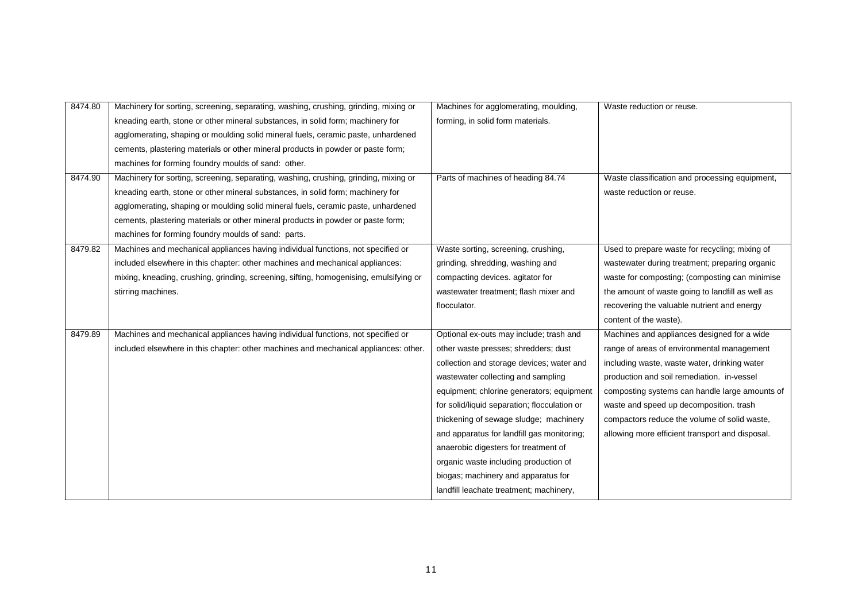| 8474.80 | Machinery for sorting, screening, separating, washing, crushing, grinding, mixing or   | Machines for agglomerating, moulding,        | Waste reduction or reuse.                        |
|---------|----------------------------------------------------------------------------------------|----------------------------------------------|--------------------------------------------------|
|         | kneading earth, stone or other mineral substances, in solid form; machinery for        | forming, in solid form materials.            |                                                  |
|         | agglomerating, shaping or moulding solid mineral fuels, ceramic paste, unhardened      |                                              |                                                  |
|         | cements, plastering materials or other mineral products in powder or paste form;       |                                              |                                                  |
|         | machines for forming foundry moulds of sand: other.                                    |                                              |                                                  |
| 8474.90 | Machinery for sorting, screening, separating, washing, crushing, grinding, mixing or   | Parts of machines of heading 84.74           | Waste classification and processing equipment,   |
|         | kneading earth, stone or other mineral substances, in solid form; machinery for        |                                              | waste reduction or reuse.                        |
|         | agglomerating, shaping or moulding solid mineral fuels, ceramic paste, unhardened      |                                              |                                                  |
|         | cements, plastering materials or other mineral products in powder or paste form;       |                                              |                                                  |
|         | machines for forming foundry moulds of sand: parts.                                    |                                              |                                                  |
| 8479.82 | Machines and mechanical appliances having individual functions, not specified or       | Waste sorting, screening, crushing,          | Used to prepare waste for recycling; mixing of   |
|         | included elsewhere in this chapter: other machines and mechanical appliances:          | grinding, shredding, washing and             | wastewater during treatment; preparing organic   |
|         | mixing, kneading, crushing, grinding, screening, sifting, homogenising, emulsifying or | compacting devices. agitator for             | waste for composting; (composting can minimise   |
|         | stirring machines.                                                                     | wastewater treatment; flash mixer and        | the amount of waste going to landfill as well as |
|         |                                                                                        | flocculator.                                 | recovering the valuable nutrient and energy      |
|         |                                                                                        |                                              | content of the waste).                           |
| 8479.89 | Machines and mechanical appliances having individual functions, not specified or       | Optional ex-outs may include; trash and      | Machines and appliances designed for a wide      |
|         | included elsewhere in this chapter: other machines and mechanical appliances: other.   | other waste presses; shredders; dust         | range of areas of environmental management       |
|         |                                                                                        | collection and storage devices; water and    | including waste, waste water, drinking water     |
|         |                                                                                        | wastewater collecting and sampling           | production and soil remediation. in-vessel       |
|         |                                                                                        | equipment; chlorine generators; equipment    | composting systems can handle large amounts of   |
|         |                                                                                        | for solid/liquid separation; flocculation or | waste and speed up decomposition. trash          |
|         |                                                                                        | thickening of sewage sludge; machinery       | compactors reduce the volume of solid waste,     |
|         |                                                                                        | and apparatus for landfill gas monitoring;   | allowing more efficient transport and disposal.  |
|         |                                                                                        | anaerobic digesters for treatment of         |                                                  |
|         |                                                                                        | organic waste including production of        |                                                  |
|         |                                                                                        | biogas; machinery and apparatus for          |                                                  |
|         |                                                                                        | landfill leachate treatment; machinery,      |                                                  |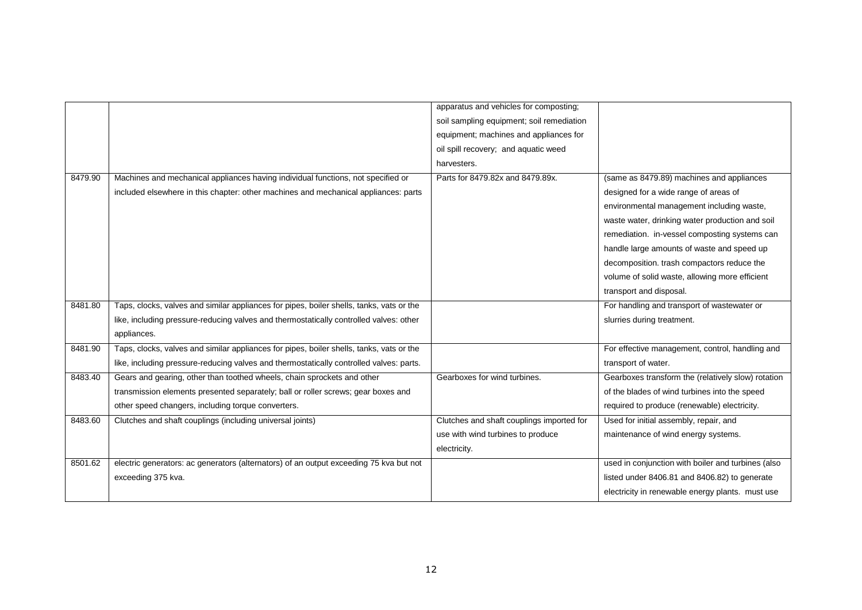|         |                                                                                          | apparatus and vehicles for composting;    |                                                    |
|---------|------------------------------------------------------------------------------------------|-------------------------------------------|----------------------------------------------------|
|         |                                                                                          | soil sampling equipment; soil remediation |                                                    |
|         |                                                                                          | equipment; machines and appliances for    |                                                    |
|         |                                                                                          | oil spill recovery; and aquatic weed      |                                                    |
|         |                                                                                          | harvesters.                               |                                                    |
| 8479.90 | Machines and mechanical appliances having individual functions, not specified or         | Parts for 8479.82x and 8479.89x.          | (same as 8479.89) machines and appliances          |
|         | included elsewhere in this chapter: other machines and mechanical appliances: parts      |                                           | designed for a wide range of areas of              |
|         |                                                                                          |                                           | environmental management including waste,          |
|         |                                                                                          |                                           | waste water, drinking water production and soil    |
|         |                                                                                          |                                           | remediation. in-vessel composting systems can      |
|         |                                                                                          |                                           | handle large amounts of waste and speed up         |
|         |                                                                                          |                                           | decomposition. trash compactors reduce the         |
|         |                                                                                          |                                           | volume of solid waste, allowing more efficient     |
|         |                                                                                          |                                           | transport and disposal.                            |
| 8481.80 | Taps, clocks, valves and similar appliances for pipes, boiler shells, tanks, vats or the |                                           | For handling and transport of wastewater or        |
|         | like, including pressure-reducing valves and thermostatically controlled valves: other   |                                           | slurries during treatment.                         |
|         | appliances.                                                                              |                                           |                                                    |
| 8481.90 | Taps, clocks, valves and similar appliances for pipes, boiler shells, tanks, vats or the |                                           | For effective management, control, handling and    |
|         | like, including pressure-reducing valves and thermostatically controlled valves: parts.  |                                           | transport of water.                                |
| 8483.40 | Gears and gearing, other than toothed wheels, chain sprockets and other                  | Gearboxes for wind turbines.              | Gearboxes transform the (relatively slow) rotation |
|         | transmission elements presented separately; ball or roller screws; gear boxes and        |                                           | of the blades of wind turbines into the speed      |
|         | other speed changers, including torque converters.                                       |                                           | required to produce (renewable) electricity.       |
| 8483.60 | Clutches and shaft couplings (including universal joints)                                | Clutches and shaft couplings imported for | Used for initial assembly, repair, and             |
|         |                                                                                          | use with wind turbines to produce         | maintenance of wind energy systems.                |
|         |                                                                                          | electricity.                              |                                                    |
| 8501.62 | electric generators: ac generators (alternators) of an output exceeding 75 kva but not   |                                           | used in conjunction with boiler and turbines (also |
|         | exceeding 375 kva.                                                                       |                                           | listed under 8406.81 and 8406.82) to generate      |
|         |                                                                                          |                                           | electricity in renewable energy plants. must use   |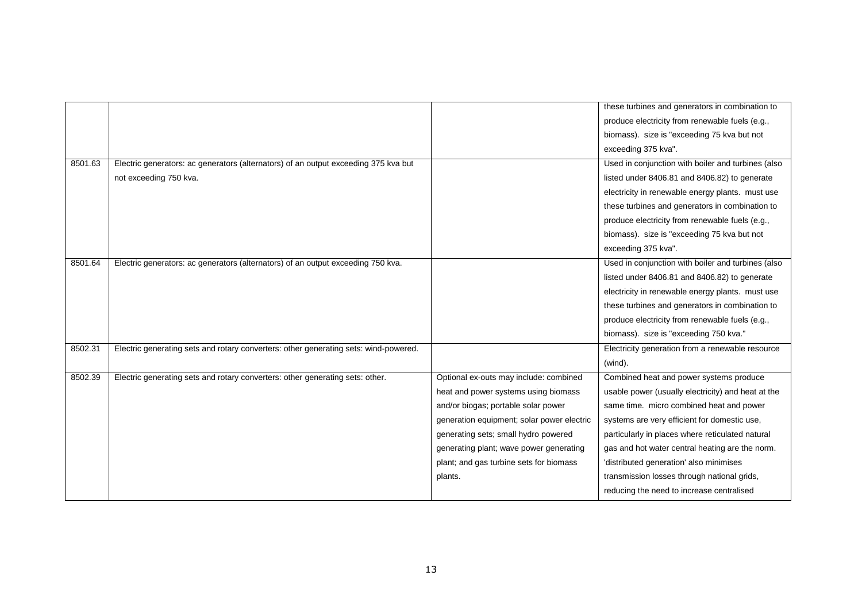|         |                                                                                      |                                            | these turbines and generators in combination to    |
|---------|--------------------------------------------------------------------------------------|--------------------------------------------|----------------------------------------------------|
|         |                                                                                      |                                            | produce electricity from renewable fuels (e.g.,    |
|         |                                                                                      |                                            | biomass). size is "exceeding 75 kva but not        |
|         |                                                                                      |                                            | exceeding 375 kva".                                |
| 8501.63 | Electric generators: ac generators (alternators) of an output exceeding 375 kva but  |                                            | Used in conjunction with boiler and turbines (also |
|         | not exceeding 750 kva.                                                               |                                            | listed under 8406.81 and 8406.82) to generate      |
|         |                                                                                      |                                            | electricity in renewable energy plants. must use   |
|         |                                                                                      |                                            | these turbines and generators in combination to    |
|         |                                                                                      |                                            | produce electricity from renewable fuels (e.g.,    |
|         |                                                                                      |                                            | biomass). size is "exceeding 75 kva but not        |
|         |                                                                                      |                                            | exceeding 375 kva".                                |
| 8501.64 | Electric generators: ac generators (alternators) of an output exceeding 750 kva.     |                                            | Used in conjunction with boiler and turbines (also |
|         |                                                                                      |                                            | listed under 8406.81 and 8406.82) to generate      |
|         |                                                                                      |                                            | electricity in renewable energy plants. must use   |
|         |                                                                                      |                                            | these turbines and generators in combination to    |
|         |                                                                                      |                                            | produce electricity from renewable fuels (e.g.,    |
|         |                                                                                      |                                            | biomass). size is "exceeding 750 kva."             |
| 8502.31 | Electric generating sets and rotary converters: other generating sets: wind-powered. |                                            | Electricity generation from a renewable resource   |
|         |                                                                                      |                                            | (wind).                                            |
| 8502.39 | Electric generating sets and rotary converters: other generating sets: other.        | Optional ex-outs may include: combined     | Combined heat and power systems produce            |
|         |                                                                                      | heat and power systems using biomass       | usable power (usually electricity) and heat at the |
|         |                                                                                      | and/or biogas; portable solar power        | same time. micro combined heat and power           |
|         |                                                                                      | generation equipment; solar power electric | systems are very efficient for domestic use,       |
|         |                                                                                      | generating sets; small hydro powered       | particularly in places where reticulated natural   |
|         |                                                                                      | generating plant; wave power generating    | gas and hot water central heating are the norm.    |
|         |                                                                                      | plant; and gas turbine sets for biomass    | 'distributed generation' also minimises            |
|         |                                                                                      | plants.                                    | transmission losses through national grids,        |
|         |                                                                                      |                                            | reducing the need to increase centralised          |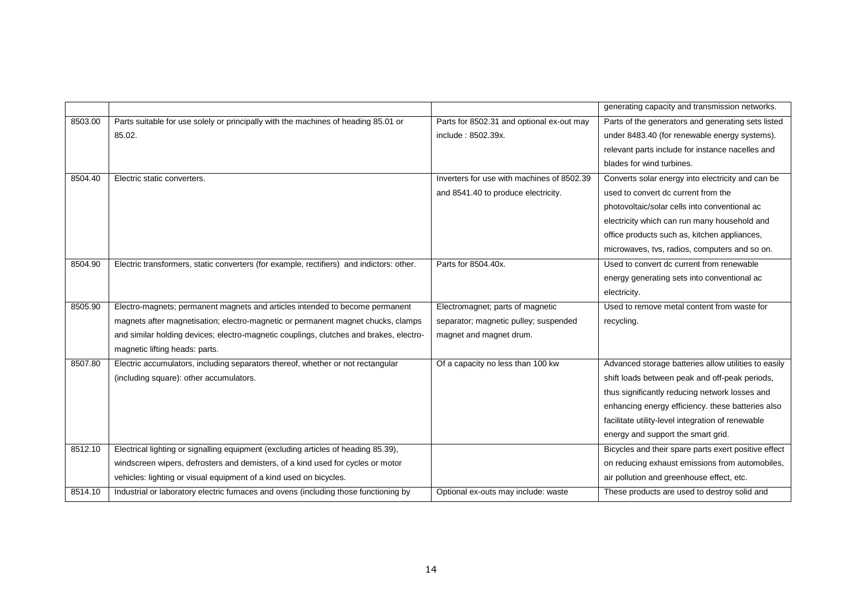|         |                                                                                          |                                            | generating capacity and transmission networks.       |
|---------|------------------------------------------------------------------------------------------|--------------------------------------------|------------------------------------------------------|
| 8503.00 | Parts suitable for use solely or principally with the machines of heading 85.01 or       | Parts for 8502.31 and optional ex-out may  | Parts of the generators and generating sets listed   |
|         | 85.02.                                                                                   | include: 8502.39x.                         | under 8483.40 (for renewable energy systems).        |
|         |                                                                                          |                                            | relevant parts include for instance nacelles and     |
|         |                                                                                          |                                            | blades for wind turbines.                            |
| 8504.40 | Electric static converters.                                                              | Inverters for use with machines of 8502.39 | Converts solar energy into electricity and can be    |
|         |                                                                                          | and 8541.40 to produce electricity.        | used to convert dc current from the                  |
|         |                                                                                          |                                            | photovoltaic/solar cells into conventional ac        |
|         |                                                                                          |                                            | electricity which can run many household and         |
|         |                                                                                          |                                            | office products such as, kitchen appliances,         |
|         |                                                                                          |                                            | microwaves, tvs, radios, computers and so on.        |
| 8504.90 | Electric transformers, static converters (for example, rectifiers) and indictors: other. | Parts for 8504.40x.                        | Used to convert dc current from renewable            |
|         |                                                                                          |                                            | energy generating sets into conventional ac          |
|         |                                                                                          |                                            | electricity.                                         |
| 8505.90 | Electro-magnets; permanent magnets and articles intended to become permanent             | Electromagnet; parts of magnetic           | Used to remove metal content from waste for          |
|         | magnets after magnetisation; electro-magnetic or permanent magnet chucks, clamps         | separator; magnetic pulley; suspended      | recycling.                                           |
|         | and similar holding devices; electro-magnetic couplings, clutches and brakes, electro-   | magnet and magnet drum.                    |                                                      |
|         | magnetic lifting heads: parts.                                                           |                                            |                                                      |
| 8507.80 | Electric accumulators, including separators thereof, whether or not rectangular          | Of a capacity no less than 100 kw          | Advanced storage batteries allow utilities to easily |
|         | (including square): other accumulators.                                                  |                                            | shift loads between peak and off-peak periods,       |
|         |                                                                                          |                                            | thus significantly reducing network losses and       |
|         |                                                                                          |                                            | enhancing energy efficiency, these batteries also    |
|         |                                                                                          |                                            | facilitate utility-level integration of renewable    |
|         |                                                                                          |                                            | energy and support the smart grid.                   |
| 8512.10 | Electrical lighting or signalling equipment (excluding articles of heading 85.39),       |                                            | Bicycles and their spare parts exert positive effect |
|         | windscreen wipers, defrosters and demisters, of a kind used for cycles or motor          |                                            | on reducing exhaust emissions from automobiles,      |
|         | vehicles: lighting or visual equipment of a kind used on bicycles.                       |                                            | air pollution and greenhouse effect, etc.            |
| 8514.10 | Industrial or laboratory electric furnaces and ovens (including those functioning by     | Optional ex-outs may include: waste        | These products are used to destroy solid and         |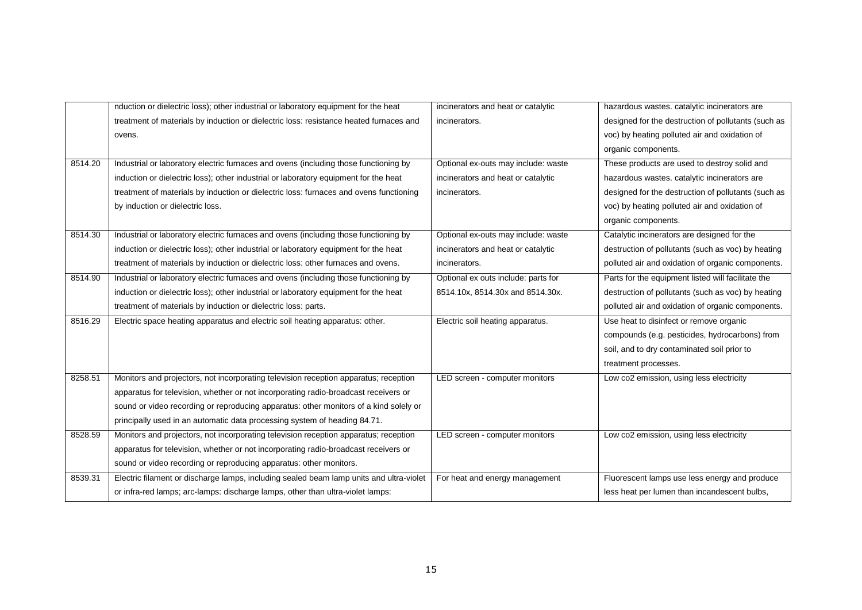|         | nduction or dielectric loss); other industrial or laboratory equipment for the heat     | incinerators and heat or catalytic  | hazardous wastes. catalytic incinerators are        |
|---------|-----------------------------------------------------------------------------------------|-------------------------------------|-----------------------------------------------------|
|         | treatment of materials by induction or dielectric loss: resistance heated furnaces and  | incinerators.                       | designed for the destruction of pollutants (such as |
|         | ovens.                                                                                  |                                     | voc) by heating polluted air and oxidation of       |
|         |                                                                                         |                                     | organic components.                                 |
| 8514.20 | Industrial or laboratory electric furnaces and ovens (including those functioning by    | Optional ex-outs may include: waste | These products are used to destroy solid and        |
|         | induction or dielectric loss); other industrial or laboratory equipment for the heat    | incinerators and heat or catalytic  | hazardous wastes. catalytic incinerators are        |
|         | treatment of materials by induction or dielectric loss: furnaces and ovens functioning  | incinerators.                       | designed for the destruction of pollutants (such as |
|         | by induction or dielectric loss.                                                        |                                     | voc) by heating polluted air and oxidation of       |
|         |                                                                                         |                                     | organic components.                                 |
| 8514.30 | Industrial or laboratory electric furnaces and ovens (including those functioning by    | Optional ex-outs may include: waste | Catalytic incinerators are designed for the         |
|         | induction or dielectric loss); other industrial or laboratory equipment for the heat    | incinerators and heat or catalytic  | destruction of pollutants (such as voc) by heating  |
|         | treatment of materials by induction or dielectric loss: other furnaces and ovens.       | incinerators.                       | polluted air and oxidation of organic components.   |
| 8514.90 | Industrial or laboratory electric furnaces and ovens (including those functioning by    | Optional ex outs include: parts for | Parts for the equipment listed will facilitate the  |
|         | induction or dielectric loss); other industrial or laboratory equipment for the heat    | 8514.10x, 8514.30x and 8514.30x.    | destruction of pollutants (such as voc) by heating  |
|         | treatment of materials by induction or dielectric loss: parts.                          |                                     | polluted air and oxidation of organic components.   |
| 8516.29 | Electric space heating apparatus and electric soil heating apparatus: other.            | Electric soil heating apparatus.    | Use heat to disinfect or remove organic             |
|         |                                                                                         |                                     | compounds (e.g. pesticides, hydrocarbons) from      |
|         |                                                                                         |                                     | soil, and to dry contaminated soil prior to         |
|         |                                                                                         |                                     | treatment processes.                                |
| 8258.51 | Monitors and projectors, not incorporating television reception apparatus; reception    | LED screen - computer monitors      | Low co2 emission, using less electricity            |
|         | apparatus for television, whether or not incorporating radio-broadcast receivers or     |                                     |                                                     |
|         | sound or video recording or reproducing apparatus: other monitors of a kind solely or   |                                     |                                                     |
|         | principally used in an automatic data processing system of heading 84.71.               |                                     |                                                     |
| 8528.59 | Monitors and projectors, not incorporating television reception apparatus; reception    | LED screen - computer monitors      | Low co2 emission, using less electricity            |
|         | apparatus for television, whether or not incorporating radio-broadcast receivers or     |                                     |                                                     |
|         | sound or video recording or reproducing apparatus: other monitors.                      |                                     |                                                     |
| 8539.31 | Electric filament or discharge lamps, including sealed beam lamp units and ultra-violet | For heat and energy management      | Fluorescent lamps use less energy and produce       |
|         | or infra-red lamps; arc-lamps: discharge lamps, other than ultra-violet lamps:          |                                     | less heat per lumen than incandescent bulbs,        |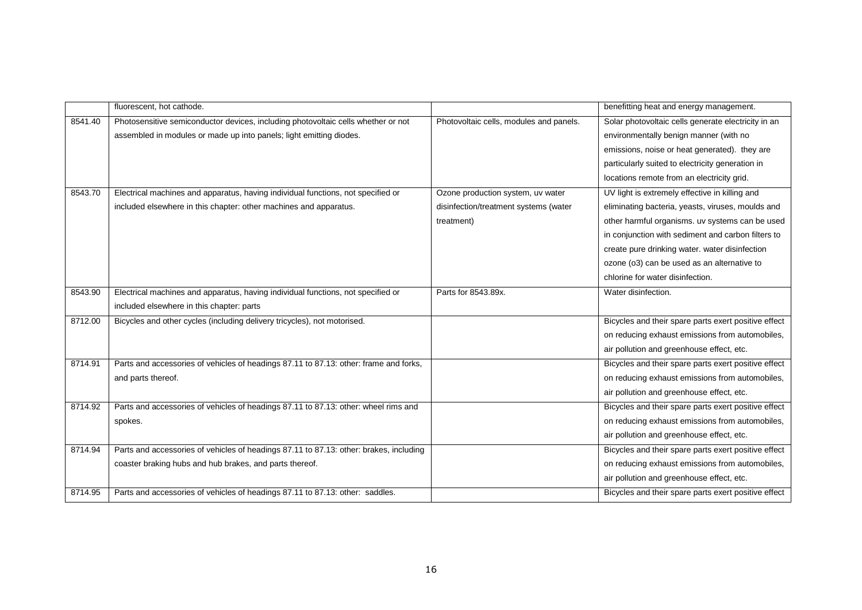|         | fluorescent, hot cathode.                                                              |                                         | benefitting heat and energy management.              |
|---------|----------------------------------------------------------------------------------------|-----------------------------------------|------------------------------------------------------|
| 8541.40 | Photosensitive semiconductor devices, including photovoltaic cells whether or not      | Photovoltaic cells, modules and panels. | Solar photovoltaic cells generate electricity in an  |
|         | assembled in modules or made up into panels; light emitting diodes.                    |                                         | environmentally benign manner (with no               |
|         |                                                                                        |                                         | emissions, noise or heat generated). they are        |
|         |                                                                                        |                                         | particularly suited to electricity generation in     |
|         |                                                                                        |                                         | locations remote from an electricity grid.           |
| 8543.70 | Electrical machines and apparatus, having individual functions, not specified or       | Ozone production system, uv water       | UV light is extremely effective in killing and       |
|         | included elsewhere in this chapter: other machines and apparatus.                      | disinfection/treatment systems (water   | eliminating bacteria, yeasts, viruses, moulds and    |
|         |                                                                                        | treatment)                              | other harmful organisms. uv systems can be used      |
|         |                                                                                        |                                         | in conjunction with sediment and carbon filters to   |
|         |                                                                                        |                                         | create pure drinking water. water disinfection       |
|         |                                                                                        |                                         | ozone (o3) can be used as an alternative to          |
|         |                                                                                        |                                         | chlorine for water disinfection.                     |
| 8543.90 | Electrical machines and apparatus, having individual functions, not specified or       | Parts for 8543.89x.                     | Water disinfection.                                  |
|         | included elsewhere in this chapter: parts                                              |                                         |                                                      |
| 8712.00 | Bicycles and other cycles (including delivery tricycles), not motorised.               |                                         | Bicycles and their spare parts exert positive effect |
|         |                                                                                        |                                         | on reducing exhaust emissions from automobiles,      |
|         |                                                                                        |                                         | air pollution and greenhouse effect, etc.            |
| 8714.91 | Parts and accessories of vehicles of headings 87.11 to 87.13: other: frame and forks,  |                                         | Bicycles and their spare parts exert positive effect |
|         | and parts thereof.                                                                     |                                         | on reducing exhaust emissions from automobiles,      |
|         |                                                                                        |                                         | air pollution and greenhouse effect, etc.            |
| 8714.92 | Parts and accessories of vehicles of headings 87.11 to 87.13: other: wheel rims and    |                                         | Bicycles and their spare parts exert positive effect |
|         | spokes.                                                                                |                                         | on reducing exhaust emissions from automobiles,      |
|         |                                                                                        |                                         | air pollution and greenhouse effect, etc.            |
| 8714.94 | Parts and accessories of vehicles of headings 87.11 to 87.13: other: brakes, including |                                         | Bicycles and their spare parts exert positive effect |
|         | coaster braking hubs and hub brakes, and parts thereof.                                |                                         | on reducing exhaust emissions from automobiles,      |
|         |                                                                                        |                                         | air pollution and greenhouse effect, etc.            |
| 8714.95 | Parts and accessories of vehicles of headings 87.11 to 87.13: other: saddles.          |                                         | Bicycles and their spare parts exert positive effect |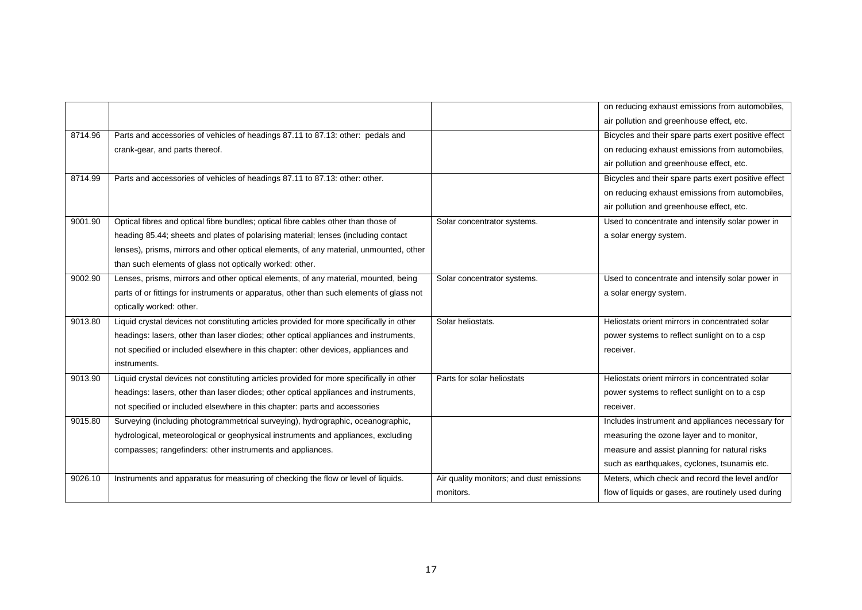|         |                                                                                          |                                          | on reducing exhaust emissions from automobiles,      |
|---------|------------------------------------------------------------------------------------------|------------------------------------------|------------------------------------------------------|
|         |                                                                                          |                                          | air pollution and greenhouse effect, etc.            |
| 8714.96 | Parts and accessories of vehicles of headings 87.11 to 87.13: other: pedals and          |                                          | Bicycles and their spare parts exert positive effect |
|         | crank-gear, and parts thereof.                                                           |                                          | on reducing exhaust emissions from automobiles,      |
|         |                                                                                          |                                          | air pollution and greenhouse effect, etc.            |
| 8714.99 | Parts and accessories of vehicles of headings 87.11 to 87.13: other: other.              |                                          | Bicycles and their spare parts exert positive effect |
|         |                                                                                          |                                          | on reducing exhaust emissions from automobiles,      |
|         |                                                                                          |                                          | air pollution and greenhouse effect, etc.            |
| 9001.90 | Optical fibres and optical fibre bundles; optical fibre cables other than those of       | Solar concentrator systems.              | Used to concentrate and intensify solar power in     |
|         | heading 85.44; sheets and plates of polarising material; lenses (including contact       |                                          | a solar energy system.                               |
|         | lenses), prisms, mirrors and other optical elements, of any material, unmounted, other   |                                          |                                                      |
|         | than such elements of glass not optically worked: other.                                 |                                          |                                                      |
| 9002.90 | Lenses, prisms, mirrors and other optical elements, of any material, mounted, being      | Solar concentrator systems.              | Used to concentrate and intensify solar power in     |
|         | parts of or fittings for instruments or apparatus, other than such elements of glass not |                                          | a solar energy system.                               |
|         | optically worked: other.                                                                 |                                          |                                                      |
| 9013.80 | Liquid crystal devices not constituting articles provided for more specifically in other | Solar heliostats.                        | Heliostats orient mirrors in concentrated solar      |
|         | headings: lasers, other than laser diodes; other optical appliances and instruments,     |                                          | power systems to reflect sunlight on to a csp        |
|         | not specified or included elsewhere in this chapter: other devices, appliances and       |                                          | receiver.                                            |
|         | instruments.                                                                             |                                          |                                                      |
| 9013.90 | Liquid crystal devices not constituting articles provided for more specifically in other | Parts for solar heliostats               | Heliostats orient mirrors in concentrated solar      |
|         | headings: lasers, other than laser diodes; other optical appliances and instruments,     |                                          | power systems to reflect sunlight on to a csp        |
|         | not specified or included elsewhere in this chapter: parts and accessories               |                                          | receiver.                                            |
| 9015.80 | Surveying (including photogrammetrical surveying), hydrographic, oceanographic,          |                                          | Includes instrument and appliances necessary for     |
|         | hydrological, meteorological or geophysical instruments and appliances, excluding        |                                          | measuring the ozone layer and to monitor,            |
|         | compasses; rangefinders: other instruments and appliances.                               |                                          | measure and assist planning for natural risks        |
|         |                                                                                          |                                          | such as earthquakes, cyclones, tsunamis etc.         |
| 9026.10 | Instruments and apparatus for measuring of checking the flow or level of liquids.        | Air quality monitors; and dust emissions | Meters, which check and record the level and/or      |
|         |                                                                                          | monitors.                                | flow of liquids or gases, are routinely used during  |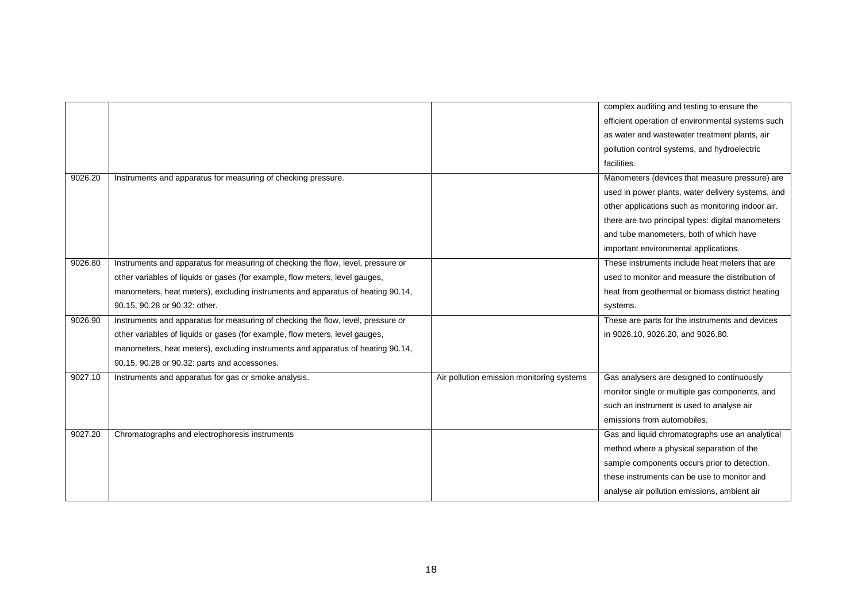|         |                                                                                  |                                           | complex auditing and testing to ensure the        |
|---------|----------------------------------------------------------------------------------|-------------------------------------------|---------------------------------------------------|
|         |                                                                                  |                                           | efficient operation of environmental systems such |
|         |                                                                                  |                                           | as water and wastewater treatment plants, air     |
|         |                                                                                  |                                           | pollution control systems, and hydroelectric      |
|         |                                                                                  |                                           | facilities.                                       |
| 9026.20 | Instruments and apparatus for measuring of checking pressure.                    |                                           | Manometers (devices that measure pressure) are    |
|         |                                                                                  |                                           | used in power plants, water delivery systems, and |
|         |                                                                                  |                                           | other applications such as monitoring indoor air. |
|         |                                                                                  |                                           | there are two principal types: digital manometers |
|         |                                                                                  |                                           | and tube manometers, both of which have           |
|         |                                                                                  |                                           | important environmental applications.             |
| 9026.80 | Instruments and apparatus for measuring of checking the flow, level, pressure or |                                           | These instruments include heat meters that are    |
|         | other variables of liquids or gases (for example, flow meters, level gauges,     |                                           | used to monitor and measure the distribution of   |
|         | manometers, heat meters), excluding instruments and apparatus of heating 90.14,  |                                           | heat from geothermal or biomass district heating  |
|         | 90.15, 90.28 or 90.32: other.                                                    |                                           | systems.                                          |
| 9026.90 | Instruments and apparatus for measuring of checking the flow, level, pressure or |                                           | These are parts for the instruments and devices   |
|         | other variables of liquids or gases (for example, flow meters, level gauges,     |                                           | in 9026.10, 9026.20, and 9026.80.                 |
|         | manometers, heat meters), excluding instruments and apparatus of heating 90.14,  |                                           |                                                   |
|         | 90.15, 90.28 or 90.32: parts and accessories.                                    |                                           |                                                   |
| 9027.10 | Instruments and apparatus for gas or smoke analysis.                             | Air pollution emission monitoring systems | Gas analysers are designed to continuously        |
|         |                                                                                  |                                           | monitor single or multiple gas components, and    |
|         |                                                                                  |                                           | such an instrument is used to analyse air         |
|         |                                                                                  |                                           | emissions from automobiles.                       |
| 9027.20 | Chromatographs and electrophoresis instruments                                   |                                           | Gas and liquid chromatographs use an analytical   |
|         |                                                                                  |                                           | method where a physical separation of the         |
|         |                                                                                  |                                           | sample components occurs prior to detection.      |
|         |                                                                                  |                                           | these instruments can be use to monitor and       |
|         |                                                                                  |                                           | analyse air pollution emissions, ambient air      |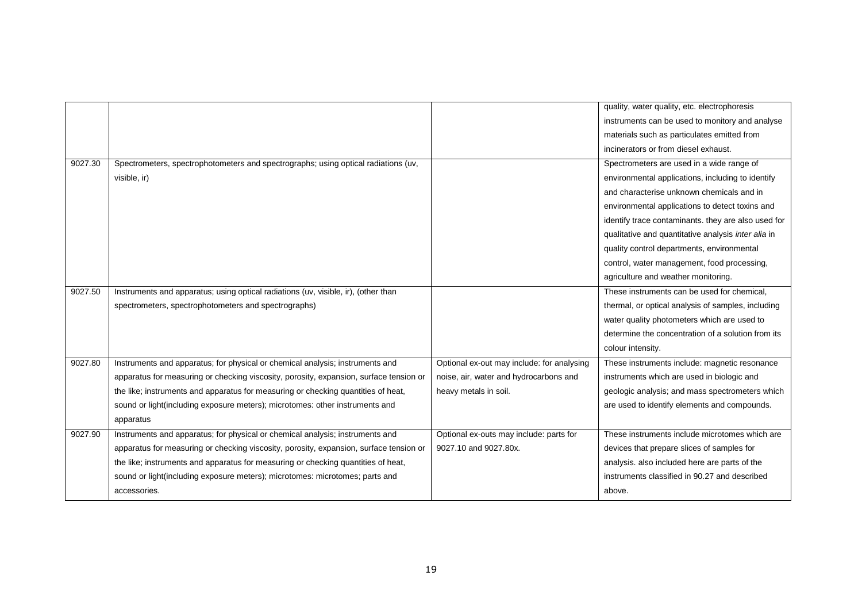|         |                                                                                        |                                            | quality, water quality, etc. electrophoresis        |
|---------|----------------------------------------------------------------------------------------|--------------------------------------------|-----------------------------------------------------|
|         |                                                                                        |                                            | instruments can be used to monitory and analyse     |
|         |                                                                                        |                                            | materials such as particulates emitted from         |
|         |                                                                                        |                                            | incinerators or from diesel exhaust.                |
| 9027.30 | Spectrometers, spectrophotometers and spectrographs; using optical radiations (uv,     |                                            | Spectrometers are used in a wide range of           |
|         | visible, ir)                                                                           |                                            | environmental applications, including to identify   |
|         |                                                                                        |                                            | and characterise unknown chemicals and in           |
|         |                                                                                        |                                            | environmental applications to detect toxins and     |
|         |                                                                                        |                                            | identify trace contaminants. they are also used for |
|         |                                                                                        |                                            | qualitative and quantitative analysis inter alia in |
|         |                                                                                        |                                            | quality control departments, environmental          |
|         |                                                                                        |                                            | control, water management, food processing,         |
|         |                                                                                        |                                            | agriculture and weather monitoring.                 |
| 9027.50 | Instruments and apparatus; using optical radiations (uv, visible, ir), (other than     |                                            | These instruments can be used for chemical,         |
|         | spectrometers, spectrophotometers and spectrographs)                                   |                                            | thermal, or optical analysis of samples, including  |
|         |                                                                                        |                                            | water quality photometers which are used to         |
|         |                                                                                        |                                            | determine the concentration of a solution from its  |
|         |                                                                                        |                                            | colour intensity.                                   |
| 9027.80 | Instruments and apparatus; for physical or chemical analysis; instruments and          | Optional ex-out may include: for analysing | These instruments include: magnetic resonance       |
|         | apparatus for measuring or checking viscosity, porosity, expansion, surface tension or | noise, air, water and hydrocarbons and     | instruments which are used in biologic and          |
|         | the like; instruments and apparatus for measuring or checking quantities of heat,      | heavy metals in soil.                      | geologic analysis; and mass spectrometers which     |
|         | sound or light(including exposure meters); microtomes: other instruments and           |                                            | are used to identify elements and compounds.        |
|         | apparatus                                                                              |                                            |                                                     |
| 9027.90 | Instruments and apparatus; for physical or chemical analysis; instruments and          | Optional ex-outs may include: parts for    | These instruments include microtomes which are      |
|         | apparatus for measuring or checking viscosity, porosity, expansion, surface tension or | 9027.10 and 9027.80x.                      | devices that prepare slices of samples for          |
|         | the like; instruments and apparatus for measuring or checking quantities of heat,      |                                            | analysis. also included here are parts of the       |
|         | sound or light (including exposure meters); microtomes: microtomes; parts and          |                                            | instruments classified in 90.27 and described       |
|         | accessories.                                                                           |                                            | above.                                              |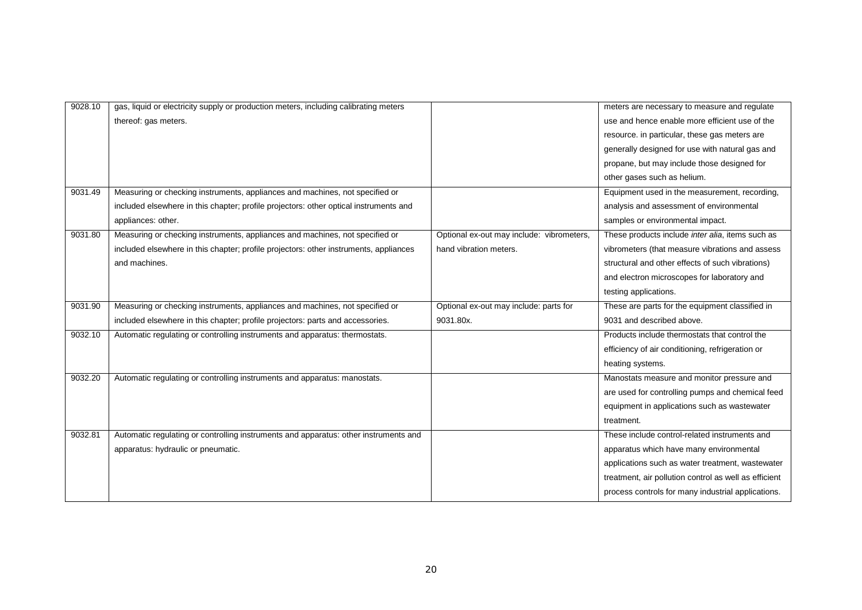| 9028.10 | gas, liquid or electricity supply or production meters, including calibrating meters  |                                           | meters are necessary to measure and regulate             |
|---------|---------------------------------------------------------------------------------------|-------------------------------------------|----------------------------------------------------------|
|         | thereof: gas meters.                                                                  |                                           | use and hence enable more efficient use of the           |
|         |                                                                                       |                                           | resource. in particular, these gas meters are            |
|         |                                                                                       |                                           | generally designed for use with natural gas and          |
|         |                                                                                       |                                           | propane, but may include those designed for              |
|         |                                                                                       |                                           | other gases such as helium.                              |
| 9031.49 | Measuring or checking instruments, appliances and machines, not specified or          |                                           | Equipment used in the measurement, recording,            |
|         | included elsewhere in this chapter; profile projectors: other optical instruments and |                                           | analysis and assessment of environmental                 |
|         | appliances: other.                                                                    |                                           | samples or environmental impact.                         |
| 9031.80 | Measuring or checking instruments, appliances and machines, not specified or          | Optional ex-out may include: vibrometers, | These products include <i>inter alia</i> , items such as |
|         | included elsewhere in this chapter; profile projectors: other instruments, appliances | hand vibration meters.                    | vibrometers (that measure vibrations and assess          |
|         | and machines.                                                                         |                                           | structural and other effects of such vibrations)         |
|         |                                                                                       |                                           | and electron microscopes for laboratory and              |
|         |                                                                                       |                                           | testing applications.                                    |
| 9031.90 | Measuring or checking instruments, appliances and machines, not specified or          | Optional ex-out may include: parts for    | These are parts for the equipment classified in          |
|         | included elsewhere in this chapter; profile projectors: parts and accessories.        | 9031.80x.                                 | 9031 and described above.                                |
| 9032.10 | Automatic regulating or controlling instruments and apparatus: thermostats.           |                                           | Products include thermostats that control the            |
|         |                                                                                       |                                           | efficiency of air conditioning, refrigeration or         |
|         |                                                                                       |                                           | heating systems.                                         |
| 9032.20 | Automatic regulating or controlling instruments and apparatus: manostats.             |                                           | Manostats measure and monitor pressure and               |
|         |                                                                                       |                                           | are used for controlling pumps and chemical feed         |
|         |                                                                                       |                                           | equipment in applications such as wastewater             |
|         |                                                                                       |                                           | treatment.                                               |
| 9032.81 | Automatic regulating or controlling instruments and apparatus: other instruments and  |                                           | These include control-related instruments and            |
|         | apparatus: hydraulic or pneumatic.                                                    |                                           | apparatus which have many environmental                  |
|         |                                                                                       |                                           | applications such as water treatment, wastewater         |
|         |                                                                                       |                                           | treatment, air pollution control as well as efficient    |
|         |                                                                                       |                                           | process controls for many industrial applications.       |